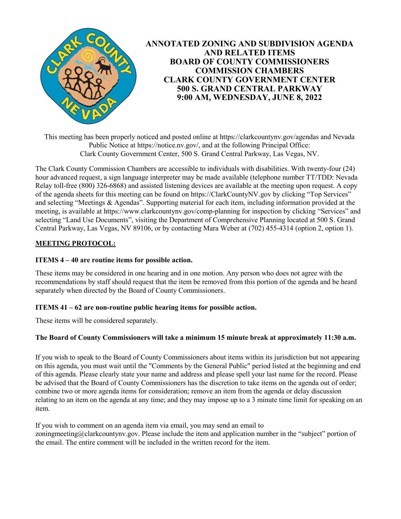

This meeting has been properly noticed and posted online at https://clarkcountynv.gov/agendas and Nevada Public Notice at https://notice.nv.gov/, and at the following Principal Office: Clark County Government Center, 500 S. Grand Central Parkway, Las Vegas, NV.

The Clark County Commission Chambers are accessible to individuals with disabilities. With twenty-four (24) hour advanced request, a sign language interpreter may be made available (telephone number TT/TDD: Nevada Relay toll-free (800) 326-6868) and assisted listening devices are available at the meeting upon request. A copy of the agenda sheets for this meeting can be found on https://ClarkCountyNV.gov by clicking "Top Services" and selecting "Meetings & Agendas". Supporting material for each item, including information provided at the meeting, is available at https://www.clarkcountynv.gov/comp-planning for inspection by clicking "Services" and selecting "Land Use Documents", visiting the Department of Comprehensive Planning located at 500 S. Grand Central Parkway, Las Vegas, NV 89106, or by contacting Mara Weber at (702) 455-4314 (option 2, option 1).

# **MEETING PROTOCOL:**

### **ITEMS 4 – 40 are routine items for possible action.**

These items may be considered in one hearing and in one motion. Any person who does not agree with the recommendations by staff should request that the item be removed from this portion of the agenda and be heard separately when directed by the Board of County Commissioners.

#### **ITEMS 41 – 62 are non-routine public hearing items for possible action.**

These items will be considered separately.

#### **The Board of County Commissioners will take a minimum 15 minute break at approximately 11:30 a.m.**

If you wish to speak to the Board of County Commissioners about items within its jurisdiction but not appearing on this agenda, you must wait until the "Comments by the General Public" period listed at the beginning and end of this agenda. Please clearly state your name and address and please spell your last name for the record. Please be advised that the Board of County Commissioners has the discretion to take items on the agenda out of order; combine two or more agenda items for consideration; remove an item from the agenda or delay discussion relating to an item on the agenda at any time; and they may impose up to a 3 minute time limit for speaking on an item.

If you wish to comment on an agenda item via email, you may send an email to zoningmeeting@clarkcountynv.gov. Please include the item and application number in the "subject" portion of the email. The entire comment will be included in the written record for the item.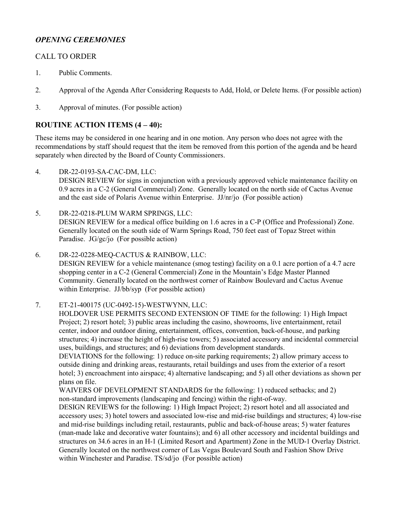# *OPENING CEREMONIES*

# CALL TO ORDER

- 1. [Public Comments.](http://clark.legistar.com/gateway.aspx?m=l&id=/matter.aspx?key=8871)
- 2. [Approval of the Agenda After Considering Requests to Add, Hold, or Delete Items. \(For possible action\)](http://clark.legistar.com/gateway.aspx?m=l&id=/matter.aspx?key=8872)
- 3. [Approval of minutes. \(For possible action\)](http://clark.legistar.com/gateway.aspx?m=l&id=/matter.aspx?key=8873)

# **ROUTINE ACTION ITEMS (4 – 40):**

These items may be considered in one hearing and in one motion. Any person who does not agree with the recommendations by staff should request that the item be removed from this portion of the agenda and be heard separately when directed by the Board of County Commissioners.

4. DR-22-0193-SA-CAC-DM, LLC:

[DESIGN REVIEW for signs in conjunction with a previously approved vehicle maintenance facility on](http://clark.legistar.com/gateway.aspx?m=l&id=/matter.aspx?key=8874)  0.9 acres in a C-2 (General Commercial) Zone. Generally located on the north side of Cactus Avenue and the east side of Polaris Avenue within Enterprise. JJ/nr/jo (For possible action)

- 5. DR-22-0218-PLUM WARM SPRINGS, LLC: [DESIGN REVIEW for a medical office building on 1.6 acres in a C-P \(Office and Professional\) Zone.](http://clark.legistar.com/gateway.aspx?m=l&id=/matter.aspx?key=8875)  Generally located on the south side of Warm Springs Road, 750 feet east of Topaz Street within Paradise. JG/gc/jo (For possible action)
- 6. DR-22-0228-MEQ-CACTUS & RAINBOW, LLC: [DESIGN REVIEW for a vehicle maintenance \(smog testing\) facility on a 0.1 acre portion of a 4.7 acre](http://clark.legistar.com/gateway.aspx?m=l&id=/matter.aspx?key=8876)  shopping center in a C-2 (General Commercial) Zone in the Mountain's Edge Master Planned Community. Generally located on the northwest corner of Rainbow Boulevard and Cactus Avenue within Enterprise. JJ/bb/syp (For possible action)

### 7. ET-21-400175 (UC-0492-15)-WESTWYNN, LLC:

HOLDOVER USE PERMITS SECOND EXTENSION OF TIME for the following: 1) High Impact Project; 2) resort hotel; 3) public areas including the casino, showrooms, live entertainment, retail center, indoor and outdoor dining, entertainment, offices, convention, back-of-house, and parking structures; 4) increase the height of high-rise towers; 5) associated accessory and incidental commercial uses, buildings, and structures; and 6) deviations from development standards.

DEVIATIONS for the following: 1) reduce on-site parking requirements; 2) allow primary access to outside dining and drinking areas, restaurants, retail buildings and uses from the exterior of a resort hotel; 3) encroachment into airspace; 4) alternative landscaping; and 5) all other deviations as shown per plans on file.

WAIVERS OF DEVELOPMENT STANDARDS for the following: 1) reduced setbacks; and 2) non-standard improvements (landscaping and fencing) within the right-of-way.

DESIGN REVIEWS for the following: 1) High Impact Project; 2) resort hotel and all associated and [accessory uses; 3\) hotel towers and associated low-rise and mid-rise buildings and structures; 4\) low-rise](http://clark.legistar.com/gateway.aspx?m=l&id=/matter.aspx?key=8877)  and mid-rise buildings including retail, restaurants, public and back-of-house areas; 5) water features (man-made lake and decorative water fountains); and 6) all other accessory and incidental buildings and structures on 34.6 acres in an H-1 (Limited Resort and Apartment) Zone in the MUD-1 Overlay District. Generally located on the northwest corner of Las Vegas Boulevard South and Fashion Show Drive within Winchester and Paradise. TS/sd/jo (For possible action)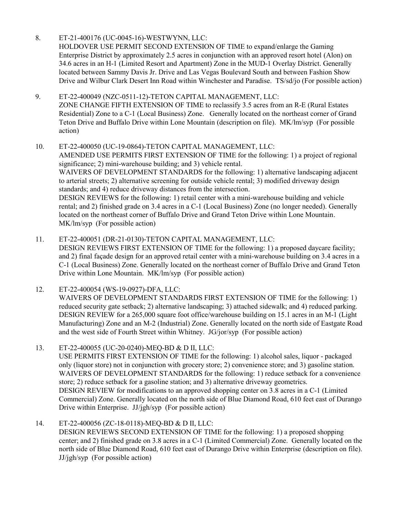8. ET-21-400176 (UC-0045-16)-WESTWYNN, LLC:

HOLDOVER USE PERMIT SECOND EXTENSION OF TIME to expand/enlarge the Gaming Enterprise District by approximately 2.5 acres in conjunction with an approved resort hotel (Alon) on 34.6 acres in an H-1 (Limited Resort and Apartment) Zone in the MUD-1 Overlay District. Generally located between Sammy Davis Jr. Drive and Las Vegas Boulevard South and between Fashion Show [Drive and Wilbur Clark Desert Inn Road within Winchester and Paradise. TS/sd/jo \(For possible action\)](http://clark.legistar.com/gateway.aspx?m=l&id=/matter.aspx?key=8878)

9. ET-22-400049 (NZC-0511-12)-TETON CAPITAL MANAGEMENT, LLC: ZONE CHANGE FIFTH EXTENSION OF TIME to reclassify 3.5 acres from an R-E (Rural Estates [Residential\) Zone to a C-1 \(Local Business\) Zone. Generally located on the northeast corner of Grand](http://clark.legistar.com/gateway.aspx?m=l&id=/matter.aspx?key=8879)  Teton Drive and Buffalo Drive within Lone Mountain (description on file). MK/lm/syp (For possible action)

10. ET-22-400050 (UC-19-0864)-TETON CAPITAL MANAGEMENT, LLC: AMENDED USE PERMITS FIRST EXTENSION OF TIME for the following: 1) a project of regional significance; 2) mini-warehouse building; and 3) vehicle rental. WAIVERS OF DEVELOPMENT STANDARDS for the following: 1) alternative landscaping adjacent to arterial streets; 2) alternative screening for outside vehicle rental; 3) modified driveway design standards; and 4) reduce driveway distances from the intersection. DESIGN REVIEWS for the following: 1) retail center with a mini-warehouse building and vehicle rental; and 2) finished grade on 3.4 acres in a C-1 (Local Business) Zone (no longer needed). Generally located on the northeast corner of Buffalo Drive and Grand Teton Drive within Lone Mountain. MK/lm/syp (For possible action)

11. ET-22-400051 (DR-21-0130)-TETON CAPITAL MANAGEMENT, LLC: DESIGN REVIEWS FIRST EXTENSION OF TIME for the following: 1) a proposed daycare facility; and 2) final façade design for an approved retail center with a mini-warehouse building on 3.4 acres in a [C-1 \(Local Business\) Zone. Generally located on the northeast corner of Buffalo Drive and Grand Teton](http://clark.legistar.com/gateway.aspx?m=l&id=/matter.aspx?key=8881)  Drive within Lone Mountain. MK/lm/syp (For possible action)

12. ET-22-400054 (WS-19-0927)-DFA, LLC: WAIVERS OF DEVELOPMENT STANDARDS FIRST EXTENSION OF TIME for the following: 1) reduced security gate setback; 2) alternative landscaping; 3) attached sidewalk; and 4) reduced parking. DESIGN REVIEW for a 265,000 square foot office/warehouse building on 15.1 acres in an M-1 (Light [Manufacturing\) Zone and an M-2 \(Industrial\) Zone. Generally located on the north side of Eastgate Road](http://clark.legistar.com/gateway.aspx?m=l&id=/matter.aspx?key=8882)  and the west side of Fourth Street within Whitney. JG/jor/syp (For possible action)

13. ET-22-400055 (UC-20-0240)-MEQ-BD & D II, LLC: USE PERMITS FIRST EXTENSION OF TIME for the following: 1) alcohol sales, liquor - packaged only (liquor store) not in conjunction with grocery store; 2) convenience store; and 3) gasoline station. WAIVERS OF DEVELOPMENT STANDARDS for the following: 1) reduce setback for a convenience store; 2) reduce setback for a gasoline station; and 3) alternative driveway geometrics. DESIGN REVIEW for modifications to an approved shopping center on 3.8 acres in a C-1 (Limited [Commercial\) Zone. Generally located on the north side of Blue Diamond Road, 610 feet east of Durango](http://clark.legistar.com/gateway.aspx?m=l&id=/matter.aspx?key=8883)  Drive within Enterprise. JJ/jgh/syp (For possible action)

14. ET-22-400056 (ZC-18-0118)-MEQ-BD & D II, LLC:

DESIGN REVIEWS SECOND EXTENSION OF TIME for the following: 1) a proposed shopping [center; and 2\) finished grade on 3.8 acres in a C-1 \(Limited Commercial\) Zone. Generally located on the](http://clark.legistar.com/gateway.aspx?m=l&id=/matter.aspx?key=8884)  north side of Blue Diamond Road, 610 feet east of Durango Drive within Enterprise (description on file). JJ/jgh/syp (For possible action)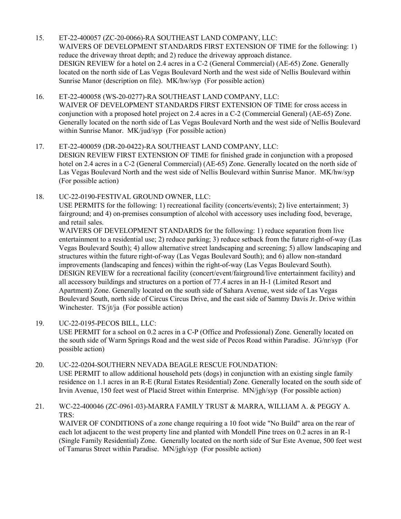- 15. ET-22-400057 (ZC-20-0066)-RA SOUTHEAST LAND COMPANY, LLC: [WAIVERS OF DEVELOPMENT STANDARDS FIRST EXTENSION OF TIME for the following: 1\)](http://clark.legistar.com/gateway.aspx?m=l&id=/matter.aspx?key=8885)  reduce the driveway throat depth; and 2) reduce the driveway approach distance. DESIGN REVIEW for a hotel on 2.4 acres in a C-2 (General Commercial) (AE-65) Zone. Generally located on the north side of Las Vegas Boulevard North and the west side of Nellis Boulevard within Sunrise Manor (description on file). MK/hw/syp (For possible action)
- 16. ET-22-400058 (WS-20-0277)-RA SOUTHEAST LAND COMPANY, LLC: WAIVER OF DEVELOPMENT STANDARDS FIRST EXTENSION OF TIME for cross access in conjunction with a proposed hotel project on 2.4 acres in a C-2 (Commercial General) (AE-65) Zone. [Generally located on the north side of Las Vegas Boulevard North and the west side of Nellis Boulevard](http://clark.legistar.com/gateway.aspx?m=l&id=/matter.aspx?key=8886)  within Sunrise Manor. MK/jud/syp (For possible action)
- 17. ET-22-400059 (DR-20-0422)-RA SOUTHEAST LAND COMPANY, LLC: DESIGN REVIEW FIRST EXTENSION OF TIME for finished grade in conjunction with a proposed hotel on 2.4 acres in a C-2 (General Commercial) (AE-65) Zone. Generally located on the north side of Las Vegas Boulevard North and the west side of Nellis Boulevard within Sunrise Manor. MK/hw/syp (For possible action)
- 18. UC-22-0190-FESTIVAL GROUND OWNER, LLC:

USE PERMITS for the following: 1) recreational facility (concerts/events); 2) live entertainment; 3) fairground; and 4) on-premises consumption of alcohol with accessory uses including food, beverage, and retail sales.

WAIVERS OF DEVELOPMENT STANDARDS for the following: 1) reduce separation from live [entertainment to a residential use; 2\) reduce parking; 3\) reduce setback from the future right-of-way \(Las](http://clark.legistar.com/gateway.aspx?m=l&id=/matter.aspx?key=8888)  Vegas Boulevard South); 4) allow alternative street landscaping and screening; 5) allow landscaping and structures within the future right-of-way (Las Vegas Boulevard South); and 6) allow non-standard improvements (landscaping and fences) within the right-of-way (Las Vegas Boulevard South). DESIGN REVIEW for a recreational facility (concert/event/fairground/live entertainment facility) and all accessory buildings and structures on a portion of 77.4 acres in an H-1 (Limited Resort and Apartment) Zone. Generally located on the south side of Sahara Avenue, west side of Las Vegas Boulevard South, north side of Circus Circus Drive, and the east side of Sammy Davis Jr. Drive within Winchester. TS/jt/ja (For possible action)

- 19. UC-22-0195-PECOS BILL, LLC: USE PERMIT for a school on 0.2 acres in a C-P (Office and Professional) Zone. Generally located on [the south side of Warm Springs Road and the west side of Pecos Road within Paradise. JG/nr/syp \(For](http://clark.legistar.com/gateway.aspx?m=l&id=/matter.aspx?key=8889)  possible action)
- 20. UC-22-0204-SOUTHERN NEVADA BEAGLE RESCUE FOUNDATION: USE PERMIT to allow additional household pets (dogs) in conjunction with an existing single family [residence on 1.1 acres in an R-E \(Rural Estates Residential\) Zone. Generally located on the south side of](http://clark.legistar.com/gateway.aspx?m=l&id=/matter.aspx?key=8890)  Irvin Avenue, 150 feet west of Placid Street within Enterprise. MN/jgh/syp (For possible action)
- 21. WC-22-400046 (ZC-0961-03)-MARRA FAMILY TRUST & MARRA, WILLIAM A. & PEGGY A. TRS:

WAIVER OF CONDITIONS of a zone change requiring a 10 foot wide "No Build" area on the rear of each lot adjacent to the west property line and planted with Mondell Pine trees on 0.2 acres in an R-1 [\(Single Family Residential\) Zone. Generally located on the north side of Sur Este Avenue, 500 feet west](http://clark.legistar.com/gateway.aspx?m=l&id=/matter.aspx?key=8891)  of Tamarus Street within Paradise. MN/jgh/syp (For possible action)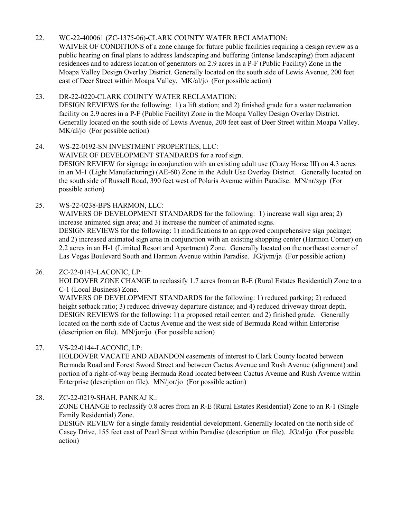## 22. WC-22-400061 (ZC-1375-06)-CLARK COUNTY WATER RECLAMATION:

WAIVER OF CONDITIONS of a zone change for future public facilities requiring a design review as a public hearing on final plans to address landscaping and buffering (intense landscaping) from adjacent residences and to address location of generators on 2.9 acres in a P-F (Public Facility) Zone in the Moapa Valley Design Overlay District. Generally located on the south side of Lewis Avenue, 200 feet east of Deer Street within Moapa Valley. MK/al/jo (For possible action)

#### 23. DR-22-0220-CLARK COUNTY WATER RECLAMATION: DESIGN REVIEWS for the following: 1) a lift station; and 2) finished grade for a water reclamation facility on 2.9 acres in a P-F (Public Facility) Zone in the Moapa Valley Design Overlay District. [Generally located on the south side of Lewis Avenue, 200 feet east of Deer Street within Moapa Valley.](http://clark.legistar.com/gateway.aspx?m=l&id=/matter.aspx?key=8893)  MK/al/jo (For possible action)

# 24. WS-22-0192-SN INVESTMENT PROPERTIES, LLC: WAIVER OF DEVELOPMENT STANDARDS for a roof sign. DESIGN REVIEW for signage in conjunction with an existing adult use (Crazy Horse III) on 4.3 acres [in an M-1 \(Light Manufacturing\) \(AE-60\) Zone in the Adult Use Overlay District. Generally located on](http://clark.legistar.com/gateway.aspx?m=l&id=/matter.aspx?key=8894)  the south side of Russell Road, 390 feet west of Polaris Avenue within Paradise. MN/nr/syp (For possible action)

25. WS-22-0238-BPS HARMON, LLC:

WAIVERS OF DEVELOPMENT STANDARDS for the following: 1) increase wall sign area; 2) increase animated sign area; and 3) increase the number of animated signs.

DESIGN REVIEWS for the following: 1) modifications to an approved comprehensive sign package; [and 2\) increased animated sign area in conjunction with an existing shopping center \(Harmon Corner\) on](http://clark.legistar.com/gateway.aspx?m=l&id=/matter.aspx?key=8895)  2.2 acres in an H-1 (Limited Resort and Apartment) Zone. Generally located on the northeast corner of Las Vegas Boulevard South and Harmon Avenue within Paradise. JG/jvm/ja (For possible action)

### 26. ZC-22-0143-LACONIC, LP:

[HOLDOVER ZONE CHANGE to reclassify 1.7 acres from an R-E \(Rural Estates Residential\) Zone to a](http://clark.legistar.com/gateway.aspx?m=l&id=/matter.aspx?key=8896)  C-1 (Local Business) Zone.

WAIVERS OF DEVELOPMENT STANDARDS for the following: 1) reduced parking; 2) reduced height setback ratio; 3) reduced driveway departure distance; and 4) reduced driveway throat depth. DESIGN REVIEWS for the following: 1) a proposed retail center; and 2) finished grade. Generally located on the north side of Cactus Avenue and the west side of Bermuda Road within Enterprise (description on file). MN/jor/jo (For possible action)

### 27. VS-22-0144-LACONIC, LP:

HOLDOVER VACATE AND ABANDON easements of interest to Clark County located between Bermuda Road and Forest Sword Street and between Cactus Avenue and Rush Avenue (alignment) and [portion of a right-of-way being Bermuda Road located between Cactus Avenue and Rush Avenue within](http://clark.legistar.com/gateway.aspx?m=l&id=/matter.aspx?key=8897)  Enterprise (description on file). MN/jor/jo (For possible action)

28. ZC-22-0219-SHAH, PANKAJ K.: [ZONE CHANGE to reclassify 0.8 acres from an R-E \(Rural Estates Residential\) Zone to an R-1 \(Single](http://clark.legistar.com/gateway.aspx?m=l&id=/matter.aspx?key=8898)  Family Residential) Zone.

DESIGN REVIEW for a single family residential development. Generally located on the north side of Casey Drive, 155 feet east of Pearl Street within Paradise (description on file). JG/al/jo (For possible action)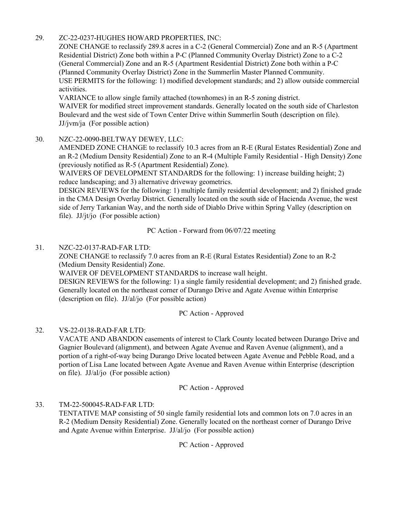## 29. ZC-22-0237-HUGHES HOWARD PROPERTIES, INC:

ZONE CHANGE to reclassify 289.8 acres in a C-2 (General Commercial) Zone and an R-5 (Apartment Residential District) Zone both within a P-C (Planned Community Overlay District) Zone to a C-2 (General Commercial) Zone and an R-5 (Apartment Residential District) Zone both within a P-C (Planned Community Overlay District) Zone in the Summerlin Master Planned Community. [USE PERMITS for the following: 1\) modified development standards; and 2\) allow outside commercial](http://clark.legistar.com/gateway.aspx?m=l&id=/matter.aspx?key=8899)  activities.

VARIANCE to allow single family attached (townhomes) in an R-5 zoning district. WAIVER for modified street improvement standards. Generally located on the south side of Charleston Boulevard and the west side of Town Center Drive within Summerlin South (description on file). JJ/jvm/ja (For possible action)

### 30. NZC-22-0090-BELTWAY DEWEY, LLC:

AMENDED ZONE CHANGE to reclassify 10.3 acres from an R-E (Rural Estates Residential) Zone and [an R-2 \(Medium Density Residential\) Zone to an R-4 \(Multiple Family Residential - High Density\) Zone](http://clark.legistar.com/gateway.aspx?m=l&id=/matter.aspx?key=8900)  (previously notified as R-5 (Apartment Residential) Zone).

WAIVERS OF DEVELOPMENT STANDARDS for the following: 1) increase building height; 2) reduce landscaping; and 3) alternative driveway geometrics.

DESIGN REVIEWS for the following: 1) multiple family residential development; and 2) finished grade in the CMA Design Overlay District. Generally located on the south side of Hacienda Avenue, the west side of Jerry Tarkanian Way, and the north side of Diablo Drive within Spring Valley (description on file). JJ/jt/jo (For possible action)

PC Action - Forward from 06/07/22 meeting

### 31. NZC-22-0137-RAD-FAR LTD:

ZONE CHANGE to reclassify 7.0 acres from an R-E (Rural Estates Residential) Zone to an R-2 (Medium Density Residential) Zone.

WAIVER OF DEVELOPMENT STANDARDS to increase wall height.

[DESIGN REVIEWS for the following: 1\) a single family residential development; and 2\) finished grade.](http://clark.legistar.com/gateway.aspx?m=l&id=/matter.aspx?key=8901)  Generally located on the northeast corner of Durango Drive and Agate Avenue within Enterprise (description on file). JJ/al/jo (For possible action)

PC Action - Approved

### 32. VS-22-0138-RAD-FAR LTD:

[VACATE AND ABANDON easements of interest to Clark County located between Durango Drive and](http://clark.legistar.com/gateway.aspx?m=l&id=/matter.aspx?key=8902)  Gagnier Boulevard (alignment), and between Agate Avenue and Raven Avenue (alignment), and a portion of a right-of-way being Durango Drive located between Agate Avenue and Pebble Road, and a portion of Lisa Lane located between Agate Avenue and Raven Avenue within Enterprise (description on file). JJ/al/jo (For possible action)

PC Action - Approved

33. TM-22-500045-RAD-FAR LTD:

[TENTATIVE MAP consisting of 50 single family residential lots and common lots on 7.0 acres in an](http://clark.legistar.com/gateway.aspx?m=l&id=/matter.aspx?key=8903)  R-2 (Medium Density Residential) Zone. Generally located on the northeast corner of Durango Drive and Agate Avenue within Enterprise. JJ/al/jo (For possible action)

PC Action - Approved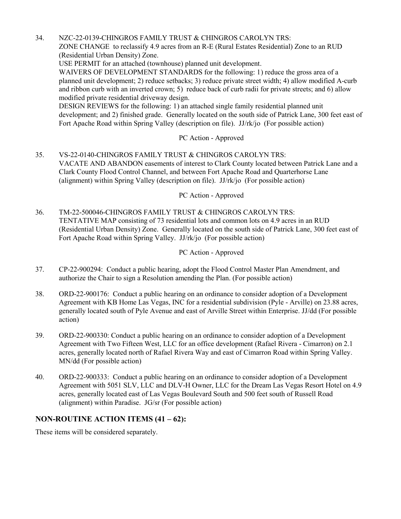34. NZC-22-0139-CHINGROS FAMILY TRUST & CHINGROS CAROLYN TRS: ZONE CHANGE to reclassify 4.9 acres from an R-E (Rural Estates Residential) Zone to an RUD (Residential Urban Density) Zone. USE PERMIT for an attached (townhouse) planned unit development. WAIVERS OF DEVELOPMENT STANDARDS for the following: 1) reduce the gross area of a planned unit development; 2) reduce setbacks; 3) reduce private street width; 4) allow modified A-curb and ribbon curb with an inverted crown; 5) reduce back of curb radii for private streets; and 6) allow modified private residential driveway design. DESIGN REVIEWS for the following: 1) an attached single family residential planned unit [development; and 2\) finished grade. Generally located on the south side of Patrick Lane, 300 feet east of](http://clark.legistar.com/gateway.aspx?m=l&id=/matter.aspx?key=8904)  Fort Apache Road within Spring Valley (description on file). JJ/rk/jo (For possible action)

## PC Action - Approved

35. VS-22-0140-CHINGROS FAMILY TRUST & CHINGROS CAROLYN TRS: [VACATE AND ABANDON easements of interest to Clark County located between Patrick Lane and a](http://clark.legistar.com/gateway.aspx?m=l&id=/matter.aspx?key=8905)  Clark County Flood Control Channel, and between Fort Apache Road and Quarterhorse Lane (alignment) within Spring Valley (description on file). JJ/rk/jo (For possible action)

PC Action - Approved

36. TM-22-500046-CHINGROS FAMILY TRUST & CHINGROS CAROLYN TRS: TENTATIVE MAP consisting of 73 residential lots and common lots on 4.9 acres in an RUD [\(Residential Urban Density\) Zone. Generally located on the south side of Patrick Lane, 300 feet east of](http://clark.legistar.com/gateway.aspx?m=l&id=/matter.aspx?key=8906)  Fort Apache Road within Spring Valley. JJ/rk/jo (For possible action)

PC Action - Approved

- 37. [CP-22-900294: Conduct a public hearing, adopt the Flood Control Master Plan Amendment, and](http://clark.legistar.com/gateway.aspx?m=l&id=/matter.aspx?key=8907)  authorize the Chair to sign a Resolution amending the Plan. (For possible action)
- 38. ORD-22-900176: Conduct a public hearing on an ordinance to consider adoption of a Development [Agreement with KB Home Las Vegas, INC for a residential subdivision \(Pyle - Arville\) on 23.88 acres,](http://clark.legistar.com/gateway.aspx?m=l&id=/matter.aspx?key=8908)  generally located south of Pyle Avenue and east of Arville Street within Enterprise. JJ/dd (For possible action)
- 39. ORD-22-900330: Conduct a public hearing on an ordinance to consider adoption of a Development [Agreement with Two Fifteen West, LLC for an office development \(Rafael Rivera - Cimarron\) on 2.1](http://clark.legistar.com/gateway.aspx?m=l&id=/matter.aspx?key=8909)  acres, generally located north of Rafael Rivera Way and east of Cimarron Road within Spring Valley. MN/dd (For possible action)
- 40. ORD-22-900333: Conduct a public hearing on an ordinance to consider adoption of a Development [Agreement with 5051 SLV, LLC and DLV-H Owner, LLC for the Dream Las Vegas Resort Hotel on 4.9](http://clark.legistar.com/gateway.aspx?m=l&id=/matter.aspx?key=8910)  acres, generally located east of Las Vegas Boulevard South and 500 feet south of Russell Road (alignment) within Paradise. JG/sr (For possible action)

# **NON-ROUTINE ACTION ITEMS (41 – 62):**

These items will be considered separately.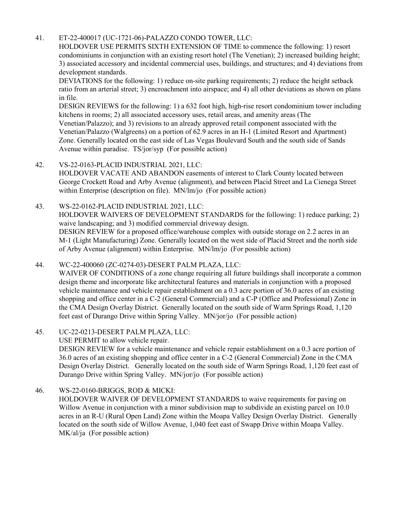## 41. ET-22-400017 (UC-1721-06)-PALAZZO CONDO TOWER, LLC:

HOLDOVER USE PERMITS SIXTH EXTENSION OF TIME to commence the following: 1) resort condominiums in conjunction with an existing resort hotel (The Venetian); 2) increased building height; [3\) associated accessory and incidental commercial uses, buildings, and structures; and 4\) deviations from](http://clark.legistar.com/gateway.aspx?m=l&id=/matter.aspx?key=8911)  development standards.

DEVIATIONS for the following: 1) reduce on-site parking requirements; 2) reduce the height setback ratio from an arterial street; 3) encroachment into airspace; and 4) all other deviations as shown on plans in file.

DESIGN REVIEWS for the following: 1) a 632 foot high, high-rise resort condominium tower including kitchens in rooms; 2) all associated accessory uses, retail areas, and amenity areas (The Venetian/Palazzo); and 3) revisions to an already approved retail component associated with the Venetian/Palazzo (Walgreens) on a portion of 62.9 acres in an H-1 (Limited Resort and Apartment) Zone. Generally located on the east side of Las Vegas Boulevard South and the south side of Sands Avenue within paradise. TS/jor/syp (For possible action)

### 42. VS-22-0163-PLACID INDUSTRIAL 2021, LLC:

HOLDOVER VACATE AND ABANDON easements of interest to Clark County located between [George Crockett Road and Arby Avenue \(alignment\), and between Placid Street and La Cienega Street](http://clark.legistar.com/gateway.aspx?m=l&id=/matter.aspx?key=8912)  within Enterprise (description on file). MN/lm/jo (For possible action)

### 43. WS-22-0162-PLACID INDUSTRIAL 2021, LLC:

[HOLDOVER WAIVERS OF DEVELOPMENT STANDARDS for the following: 1\) reduce parking; 2\)](http://clark.legistar.com/gateway.aspx?m=l&id=/matter.aspx?key=8913)  waive landscaping; and 3) modified commercial driveway design.

DESIGN REVIEW for a proposed office/warehouse complex with outside storage on 2.2 acres in an M-1 (Light Manufacturing) Zone. Generally located on the west side of Placid Street and the north side of Arby Avenue (alignment) within Enterprise. MN/lm/jo (For possible action)

### 44. WC-22-400060 (ZC-0274-03)-DESERT PALM PLAZA, LLC:

WAIVER OF CONDITIONS of a zone change requiring all future buildings shall incorporate a common design theme and incorporate like architectural features and materials in conjunction with a proposed vehicle maintenance and vehicle repair establishment on a 0.3 acre portion of 36.0 acres of an existing shopping and office center in a C-2 (General Commercial) and a C-P (Office and Professional) Zone in the CMA Design Overlay District. Generally located on the south side of Warm Springs Road, 1,120 feet east of Durango Drive within Spring Valley. MN/jor/jo (For possible action)

### 45. UC-22-0213-DESERT PALM PLAZA, LLC:

USE PERMIT to allow vehicle repair.

DESIGN REVIEW for a vehicle maintenance and vehicle repair establishment on a 0.3 acre portion of 36.0 acres of an existing shopping and office center in a C-2 (General Commercial) Zone in the CMA [Design Overlay District. Generally located on the south side of Warm Springs Road, 1,120 feet east of](http://clark.legistar.com/gateway.aspx?m=l&id=/matter.aspx?key=8915)  Durango Drive within Spring Valley. MN/jor/jo (For possible action)

### 46. WS-22-0160-BRIGGS, ROD & MICKI:

HOLDOVER WAIVER OF DEVELOPMENT STANDARDS to waive requirements for paving on Willow Avenue in conjunction with a minor subdivision map to subdivide an existing parcel on 10.0 [acres in an R-U \(Rural Open Land\) Zone within the Moapa Valley Design Overlay District. Generally](http://clark.legistar.com/gateway.aspx?m=l&id=/matter.aspx?key=8916)  located on the south side of Willow Avenue, 1,040 feet east of Swapp Drive within Moapa Valley. MK/al/ja (For possible action)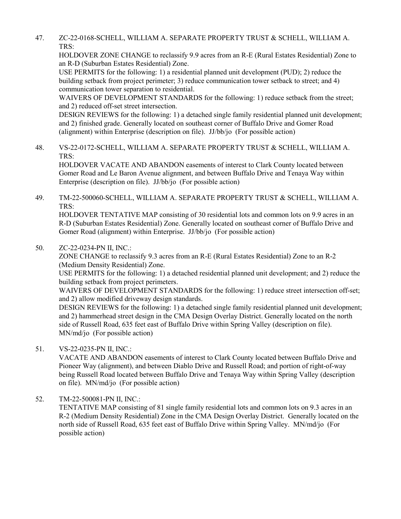47. ZC-22-0168-SCHELL, WILLIAM A. SEPARATE PROPERTY TRUST & SCHELL, WILLIAM A. TRS:

HOLDOVER ZONE CHANGE to reclassify 9.9 acres from an R-E (Rural Estates Residential) Zone to an R-D (Suburban Estates Residential) Zone.

USE PERMITS for the following: 1) a residential planned unit development (PUD); 2) reduce the building setback from project perimeter; 3) reduce communication tower setback to street; and 4) communication tower separation to residential.

WAIVERS OF DEVELOPMENT STANDARDS for the following: 1) reduce setback from the street; and 2) reduced off-set street intersection.

[DESIGN REVIEWS for the following: 1\) a detached single family residential planned unit development;](http://clark.legistar.com/gateway.aspx?m=l&id=/matter.aspx?key=8917)  and 2) finished grade. Generally located on southeast corner of Buffalo Drive and Gomer Road (alignment) within Enterprise (description on file). JJ/bb/jo (For possible action)

48. [VS-22-0172-SCHELL, WILLIAM A. SEPARATE PROPERTY TRUST & SCHELL, WILLIAM A.](http://clark.legistar.com/gateway.aspx?m=l&id=/matter.aspx?key=8918)  TRS:

HOLDOVER VACATE AND ABANDON easements of interest to Clark County located between Gomer Road and Le Baron Avenue alignment, and between Buffalo Drive and Tenaya Way within Enterprise (description on file). JJ/bb/jo (For possible action)

49. [TM-22-500060-SCHELL, WILLIAM A. SEPARATE PROPERTY TRUST & SCHELL, WILLIAM A.](http://clark.legistar.com/gateway.aspx?m=l&id=/matter.aspx?key=8919)  TRS:

HOLDOVER TENTATIVE MAP consisting of 30 residential lots and common lots on 9.9 acres in an R-D (Suburban Estates Residential) Zone. Generally located on southeast corner of Buffalo Drive and Gomer Road (alignment) within Enterprise. JJ/bb/jo (For possible action)

## 50. ZC-22-0234-PN II, INC.:

ZONE CHANGE to reclassify 9.3 acres from an R-E (Rural Estates Residential) Zone to an R-2 (Medium Density Residential) Zone.

USE PERMITS for the following: 1) a detached residential planned unit development; and 2) reduce the building setback from project perimeters.

WAIVERS OF DEVELOPMENT STANDARDS for the following: 1) reduce street intersection off-set; and 2) allow modified driveway design standards.

[DESIGN REVIEWS for the following: 1\) a detached single family residential planned unit development;](http://clark.legistar.com/gateway.aspx?m=l&id=/matter.aspx?key=8920)  and 2) hammerhead street design in the CMA Design Overlay District. Generally located on the north side of Russell Road, 635 feet east of Buffalo Drive within Spring Valley (description on file). MN/md/jo (For possible action)

### 51. VS-22-0235-PN II, INC.:

[VACATE AND ABANDON easements of interest to Clark County located between Buffalo Drive and](http://clark.legistar.com/gateway.aspx?m=l&id=/matter.aspx?key=8921)  Pioneer Way (alignment), and between Diablo Drive and Russell Road; and portion of right-of-way being Russell Road located between Buffalo Drive and Tenaya Way within Spring Valley (description on file). MN/md/jo (For possible action)

# 52. TM-22-500081-PN II, INC.:

TENTATIVE MAP consisting of 81 single family residential lots and common lots on 9.3 acres in an [R-2 \(Medium Density Residential\) Zone in the CMA Design Overlay District. Generally located on the](http://clark.legistar.com/gateway.aspx?m=l&id=/matter.aspx?key=8922)  north side of Russell Road, 635 feet east of Buffalo Drive within Spring Valley. MN/md/jo (For possible action)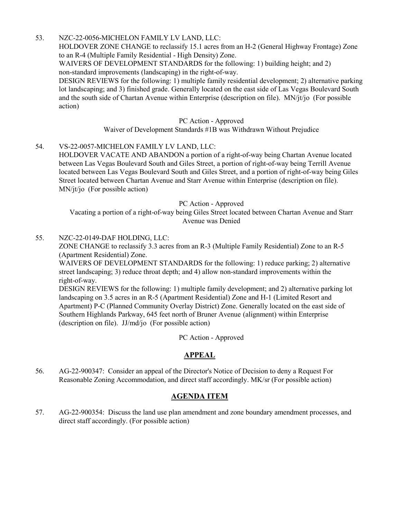### 53. NZC-22-0056-MICHELON FAMILY LV LAND, LLC:

HOLDOVER ZONE CHANGE to reclassify 15.1 acres from an H-2 (General Highway Frontage) Zone to an R-4 (Multiple Family Residential - High Density) Zone.

WAIVERS OF DEVELOPMENT STANDARDS for the following: 1) building height; and 2) non-standard improvements (landscaping) in the right-of-way.

[DESIGN REVIEWS for the following: 1\) multiple family residential development; 2\) alternative parking](http://clark.legistar.com/gateway.aspx?m=l&id=/matter.aspx?key=8923)  lot landscaping; and 3) finished grade. Generally located on the east side of Las Vegas Boulevard South and the south side of Chartan Avenue within Enterprise (description on file). MN/jt/jo (For possible action)

#### PC Action - Approved

Waiver of Development Standards #1B was Withdrawn Without Prejudice

### 54. VS-22-0057-MICHELON FAMILY LV LAND, LLC:

HOLDOVER VACATE AND ABANDON a portion of a right-of-way being Chartan Avenue located between Las Vegas Boulevard South and Giles Street, a portion of right-of-way being Terrill Avenue [located between Las Vegas Boulevard South and Giles Street, and a portion of right-of-way being Giles](http://clark.legistar.com/gateway.aspx?m=l&id=/matter.aspx?key=8924)  Street located between Chartan Avenue and Starr Avenue within Enterprise (description on file). MN/jt/jo (For possible action)

PC Action - Approved

Vacating a portion of a right-of-way being Giles Street located between Chartan Avenue and Starr Avenue was Denied

### 55. NZC-22-0149-DAF HOLDING, LLC:

ZONE CHANGE to reclassify 3.3 acres from an R-3 (Multiple Family Residential) Zone to an R-5 (Apartment Residential) Zone.

WAIVERS OF DEVELOPMENT STANDARDS for the following: 1) reduce parking; 2) alternative street landscaping; 3) reduce throat depth; and 4) allow non-standard improvements within the right-of-way.

[DESIGN REVIEWS for the following: 1\) multiple family development; and 2\) alternative parking lot](http://clark.legistar.com/gateway.aspx?m=l&id=/matter.aspx?key=8925)  landscaping on 3.5 acres in an R-5 (Apartment Residential) Zone and H-1 (Limited Resort and Apartment) P-C (Planned Community Overlay District) Zone. Generally located on the east side of Southern Highlands Parkway, 645 feet north of Bruner Avenue (alignment) within Enterprise (description on file). JJ/md/jo (For possible action)

PC Action - Approved

### **APPEAL**

56. [AG-22-900347: Consider an appeal of the Director's Notice of Decision to deny a Request For](http://clark.legistar.com/gateway.aspx?m=l&id=/matter.aspx?key=8926)  Reasonable Zoning Accommodation, and direct staff accordingly. MK/sr (For possible action)

### **AGENDA ITEM**

57. [AG-22-900354: Discuss the land use plan amendment and zone boundary amendment processes, and](http://clark.legistar.com/gateway.aspx?m=l&id=/matter.aspx?key=8927)  direct staff accordingly. (For possible action)